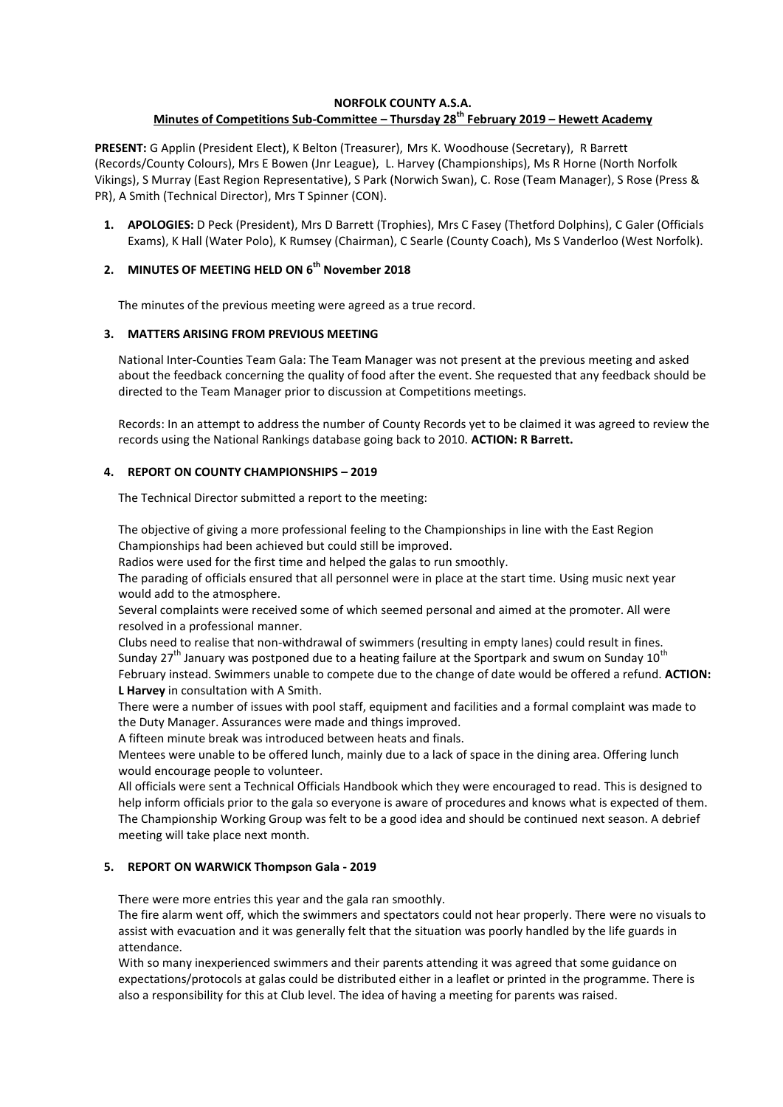### **NORFOLK COUNTY A.S.A.**

## **Minutes of Competitions Sub-Committee – Thursday 28th February 2019 – Hewett Academy**

**PRESENT:** G Applin (President Elect), K Belton (Treasurer), Mrs K. Woodhouse (Secretary), R Barrett (Records/County Colours), Mrs E Bowen (Jnr League), L. Harvey (Championships), Ms R Horne (North Norfolk Vikings), S Murray (East Region Representative), S Park (Norwich Swan), C. Rose (Team Manager), S Rose (Press & PR), A Smith (Technical Director), Mrs T Spinner (CON).

**1. APOLOGIES:** D Peck (President), Mrs D Barrett (Trophies), Mrs C Fasey (Thetford Dolphins), C Galer (Officials Exams), K Hall (Water Polo), K Rumsey (Chairman), C Searle (County Coach), Ms S Vanderloo (West Norfolk).

# **2. MINUTES OF MEETING HELD ON 6 th November 2018**

The minutes of the previous meeting were agreed as a true record.

## **3. MATTERS ARISING FROM PREVIOUS MEETING**

National Inter-Counties Team Gala: The Team Manager was not present at the previous meeting and asked about the feedback concerning the quality of food after the event. She requested that any feedback should be directed to the Team Manager prior to discussion at Competitions meetings.

Records: In an attempt to address the number of County Records yet to be claimed it was agreed to review the records using the National Rankings database going back to 2010. **ACTION: R Barrett.**

## **4. REPORT ON COUNTY CHAMPIONSHIPS – 2019**

The Technical Director submitted a report to the meeting:

The objective of giving a more professional feeling to the Championships in line with the East Region Championships had been achieved but could still be improved.

Radios were used for the first time and helped the galas to run smoothly.

The parading of officials ensured that all personnel were in place at the start time. Using music next year would add to the atmosphere.

Several complaints were received some of which seemed personal and aimed at the promoter. All were resolved in a professional manner.

Clubs need to realise that non-withdrawal of swimmers (resulting in empty lanes) could result in fines. Sunday 27<sup>th</sup> January was postponed due to a heating failure at the Sportpark and swum on Sunday 10<sup>th</sup> February instead. Swimmers unable to compete due to the change of date would be offered a refund. **ACTION: L Harvey** in consultation with A Smith.

There were a number of issues with pool staff, equipment and facilities and a formal complaint was made to the Duty Manager. Assurances were made and things improved.

A fifteen minute break was introduced between heats and finals.

Mentees were unable to be offered lunch, mainly due to a lack of space in the dining area. Offering lunch would encourage people to volunteer.

All officials were sent a Technical Officials Handbook which they were encouraged to read. This is designed to help inform officials prior to the gala so everyone is aware of procedures and knows what is expected of them. The Championship Working Group was felt to be a good idea and should be continued next season. A debrief meeting will take place next month.

#### **5. REPORT ON WARWICK Thompson Gala - 2019**

There were more entries this year and the gala ran smoothly.

The fire alarm went off, which the swimmers and spectators could not hear properly. There were no visuals to assist with evacuation and it was generally felt that the situation was poorly handled by the life guards in attendance.

With so many inexperienced swimmers and their parents attending it was agreed that some guidance on expectations/protocols at galas could be distributed either in a leaflet or printed in the programme. There is also a responsibility for this at Club level. The idea of having a meeting for parents was raised.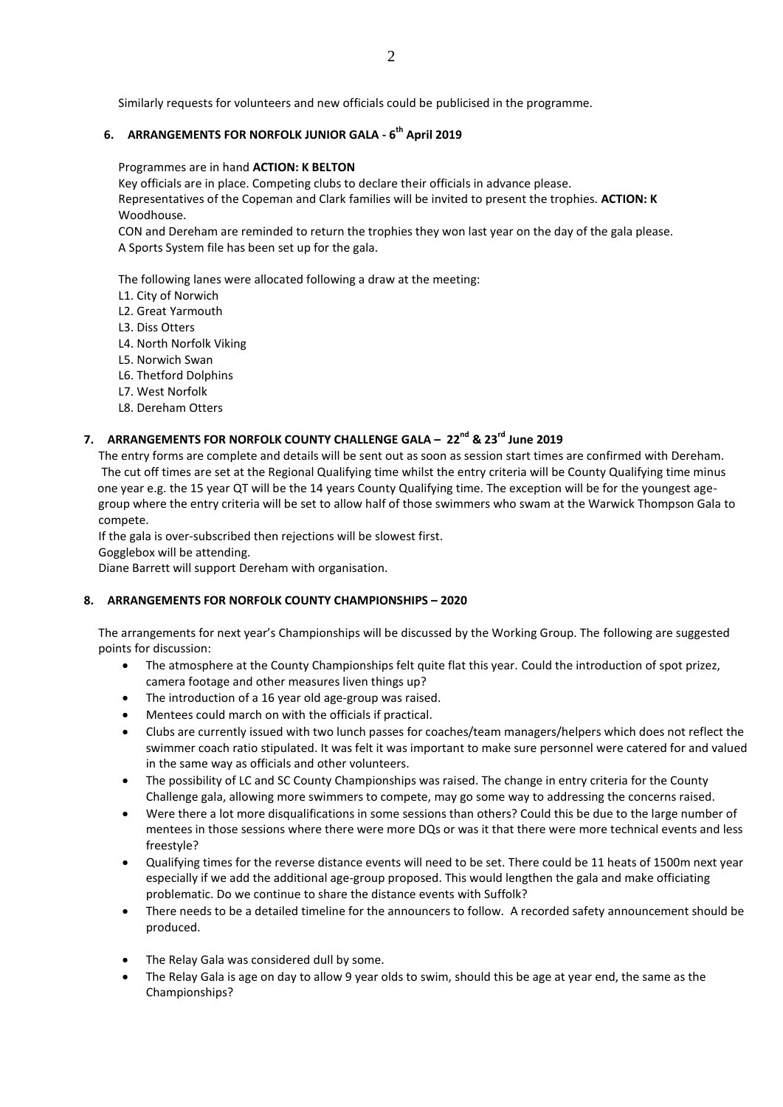Similarly requests for volunteers and new officials could be publicised in the programme.

## **6. ARRANGEMENTS FOR NORFOLK JUNIOR GALA - 6 th April 2019**

#### Programmes are in hand **ACTION: K BELTON**

Key officials are in place. Competing clubs to declare their officials in advance please.

Representatives of the Copeman and Clark families will be invited to present the trophies. **ACTION: K** Woodhouse.

CON and Dereham are reminded to return the trophies they won last year on the day of the gala please. A Sports System file has been set up for the gala.

The following lanes were allocated following a draw at the meeting:

- L1. City of Norwich
- L2. Great Yarmouth
- L3. Diss Otters
- L4. North Norfolk Viking
- L5. Norwich Swan
- L6. Thetford Dolphins
- L7. West Norfolk
- L8. Dereham Otters

# **7. ARRANGEMENTS FOR NORFOLK COUNTY CHALLENGE GALA – 22nd & 23rd June 2019**

 The entry forms are complete and details will be sent out as soon as session start times are confirmed with Dereham. The cut off times are set at the Regional Qualifying time whilst the entry criteria will be County Qualifying time minus one year e.g. the 15 year QT will be the 14 years County Qualifying time. The exception will be for the youngest age group where the entry criteria will be set to allow half of those swimmers who swam at the Warwick Thompson Gala to compete.

If the gala is over-subscribed then rejections will be slowest first.

Gogglebox will be attending.

Diane Barrett will support Dereham with organisation.

#### **8. ARRANGEMENTS FOR NORFOLK COUNTY CHAMPIONSHIPS – 2020**

The arrangements for next year's Championships will be discussed by the Working Group. The following are suggested points for discussion:

- The atmosphere at the County Championships felt quite flat this year. Could the introduction of spot prizez, camera footage and other measures liven things up?
- The introduction of a 16 year old age-group was raised.
- Mentees could march on with the officials if practical.
- Clubs are currently issued with two lunch passes for coaches/team managers/helpers which does not reflect the swimmer coach ratio stipulated. It was felt it was important to make sure personnel were catered for and valued in the same way as officials and other volunteers.
- The possibility of LC and SC County Championships was raised. The change in entry criteria for the County Challenge gala, allowing more swimmers to compete, may go some way to addressing the concerns raised.
- Were there a lot more disqualifications in some sessions than others? Could this be due to the large number of mentees in those sessions where there were more DQs or was it that there were more technical events and less freestyle?
- Qualifying times for the reverse distance events will need to be set. There could be 11 heats of 1500m next year especially if we add the additional age-group proposed. This would lengthen the gala and make officiating problematic. Do we continue to share the distance events with Suffolk?
- There needs to be a detailed timeline for the announcers to follow. A recorded safety announcement should be produced.
- The Relay Gala was considered dull by some.
- The Relay Gala is age on day to allow 9 year olds to swim, should this be age at year end, the same as the Championships?